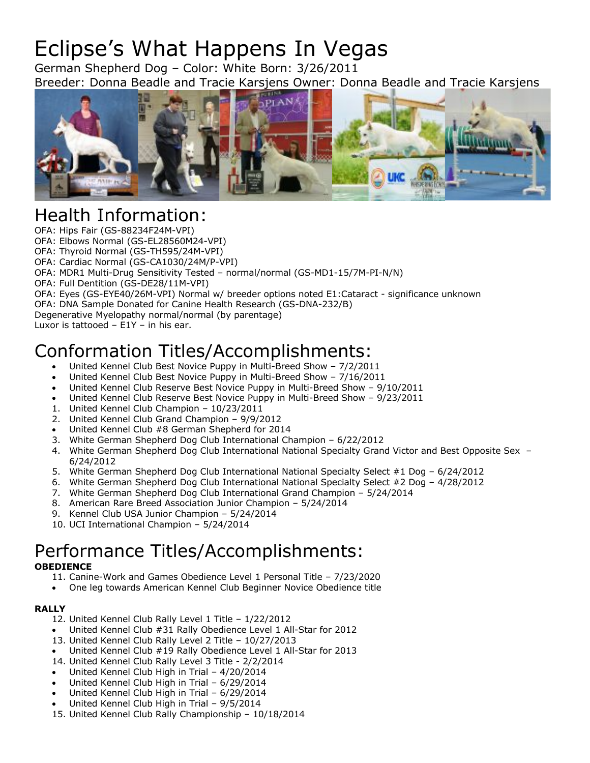# Eclipse's What Happens In Vegas

German Shepherd Dog – Color: White Born: 3/26/2011 Breeder: Donna Beadle and Tracie Karsjens Owner: Donna Beadle and Tracie Karsjens



## Health Information:

OFA: Hips Fair (GS-88234F24M-VPI) OFA: Elbows Normal (GS-EL28560M24-VPI) OFA: Thyroid Normal (GS-TH595/24M-VPI) OFA: Cardiac Normal (GS-CA1030/24M/P-VPI) OFA: MDR1 Multi-Drug Sensitivity Tested – normal/normal (GS-MD1-15/7M-PI-N/N) OFA: Full Dentition (GS-DE28/11M-VPI) OFA: Eyes (GS-EYE40/26M-VPI) Normal w/ breeder options noted E1:Cataract - significance unknown OFA: DNA Sample Donated for Canine Health Research (GS-DNA-232/B) Degenerative Myelopathy normal/normal (by parentage) Luxor is tattooed – E1Y – in his ear.

## Conformation Titles/Accomplishments:

- United Kennel Club Best Novice Puppy in Multi-Breed Show 7/2/2011
- United Kennel Club Best Novice Puppy in Multi-Breed Show 7/16/2011
- United Kennel Club Reserve Best Novice Puppy in Multi-Breed Show 9/10/2011
- United Kennel Club Reserve Best Novice Puppy in Multi-Breed Show 9/23/2011
- 1. United Kennel Club Champion 10/23/2011
- 2. United Kennel Club Grand Champion 9/9/2012
- United Kennel Club #8 German Shepherd for 2014
- 3. White German Shepherd Dog Club International Champion 6/22/2012
- 4. White German Shepherd Dog Club International National Specialty Grand Victor and Best Opposite Sex 6/24/2012
- 5. White German Shepherd Dog Club International National Specialty Select #1 Dog 6/24/2012
- 6. White German Shepherd Dog Club International National Specialty Select #2 Dog 4/28/2012
- 7. White German Shepherd Dog Club International Grand Champion 5/24/2014
- 8. American Rare Breed Association Junior Champion 5/24/2014
- 9. Kennel Club USA Junior Champion 5/24/2014
- 10. UCI International Champion 5/24/2014

## Performance Titles/Accomplishments:

#### **OBEDIENCE**

- 11. Canine-Work and Games Obedience Level 1 Personal Title 7/23/2020
- One leg towards American Kennel Club Beginner Novice Obedience title

#### **RALLY**

- 12. United Kennel Club Rally Level 1 Title 1/22/2012
- United Kennel Club #31 Rally Obedience Level 1 All-Star for 2012
- 13. United Kennel Club Rally Level 2 Title 10/27/2013
- United Kennel Club #19 Rally Obedience Level 1 All-Star for 2013
- 14. United Kennel Club Rally Level 3 Title 2/2/2014
- United Kennel Club High in Trial 4/20/2014
- United Kennel Club High in Trial 6/29/2014
- United Kennel Club High in Trial 6/29/2014
- United Kennel Club High in Trial 9/5/2014
- 15. United Kennel Club Rally Championship 10/18/2014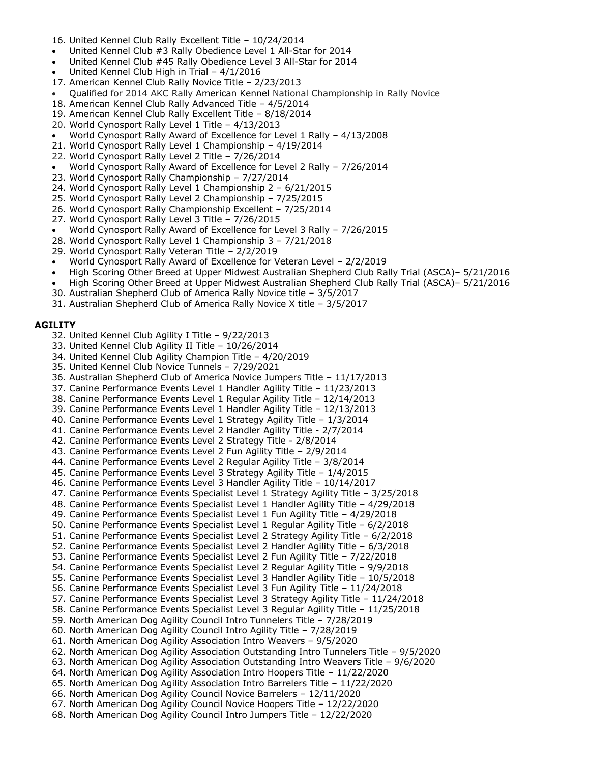- 16. United Kennel Club Rally Excellent Title 10/24/2014
- United Kennel Club #3 Rally Obedience Level 1 All-Star for 2014
- United Kennel Club #45 Rally Obedience Level 3 All-Star for 2014
- United Kennel Club High in Trial 4/1/2016
- 17. American Kennel Club Rally Novice Title 2/23/2013
- Qualified for 2014 AKC Rally American Kennel National Championship in Rally Novice
- 18. American Kennel Club Rally Advanced Title 4/5/2014
- 19. American Kennel Club Rally Excellent Title 8/18/2014
- 20. World Cynosport Rally Level 1 Title 4/13/2013
- World Cynosport Rally Award of Excellence for Level 1 Rally 4/13/2008
- 21. World Cynosport Rally Level 1 Championship 4/19/2014
- 22. World Cynosport Rally Level 2 Title 7/26/2014
- World Cynosport Rally Award of Excellence for Level 2 Rally 7/26/2014
- 23. World Cynosport Rally Championship 7/27/2014
- 24. World Cynosport Rally Level 1 Championship 2 6/21/2015
- 25. World Cynosport Rally Level 2 Championship 7/25/2015
- 26. World Cynosport Rally Championship Excellent 7/25/2014
- 27. World Cynosport Rally Level 3 Title 7/26/2015
- World Cynosport Rally Award of Excellence for Level 3 Rally 7/26/2015
- 28. World Cynosport Rally Level 1 Championship 3 7/21/2018
- 29. World Cynosport Rally Veteran Title 2/2/2019
- World Cynosport Rally Award of Excellence for Veteran Level 2/2/2019
- High Scoring Other Breed at Upper Midwest Australian Shepherd Club Rally Trial (ASCA)– 5/21/2016
- High Scoring Other Breed at Upper Midwest Australian Shepherd Club Rally Trial (ASCA)– 5/21/2016
- 30. Australian Shepherd Club of America Rally Novice title 3/5/2017
- 31. Australian Shepherd Club of America Rally Novice X title 3/5/2017

#### **AGILITY**

- 32. United Kennel Club Agility I Title 9/22/2013
- 33. United Kennel Club Agility II Title 10/26/2014
- 34. United Kennel Club Agility Champion Title 4/20/2019
- 35. United Kennel Club Novice Tunnels 7/29/2021
- 36. Australian Shepherd Club of America Novice Jumpers Title 11/17/2013
- 37. Canine Performance Events Level 1 Handler Agility Title 11/23/2013
- 38. Canine Performance Events Level 1 Regular Agility Title 12/14/2013
- 39. Canine Performance Events Level 1 Handler Agility Title 12/13/2013
- 40. Canine Performance Events Level 1 Strategy Agility Title 1/3/2014
- 41. Canine Performance Events Level 2 Handler Agility Title 2/7/2014 42. Canine Performance Events Level 2 Strategy Title - 2/8/2014
- 43. Canine Performance Events Level 2 Fun Agility Title 2/9/2014
- 44. Canine Performance Events Level 2 Regular Agility Title 3/8/2014
- 45. Canine Performance Events Level 3 Strategy Agility Title 1/4/2015
- 46. Canine Performance Events Level 3 Handler Agility Title 10/14/2017
- 47. Canine Performance Events Specialist Level 1 Strategy Agility Title 3/25/2018
- 48. Canine Performance Events Specialist Level 1 Handler Agility Title 4/29/2018
- 49. Canine Performance Events Specialist Level 1 Fun Agility Title 4/29/2018
- 50. Canine Performance Events Specialist Level 1 Regular Agility Title 6/2/2018
- 51. Canine Performance Events Specialist Level 2 Strategy Agility Title 6/2/2018
- 52. Canine Performance Events Specialist Level 2 Handler Agility Title 6/3/2018
- 53. Canine Performance Events Specialist Level 2 Fun Agility Title 7/22/2018
- 54. Canine Performance Events Specialist Level 2 Regular Agility Title 9/9/2018
- 55. Canine Performance Events Specialist Level 3 Handler Agility Title 10/5/2018
- 56. Canine Performance Events Specialist Level 3 Fun Agility Title 11/24/2018
- 57. Canine Performance Events Specialist Level 3 Strategy Agility Title 11/24/2018
- 58. Canine Performance Events Specialist Level 3 Regular Agility Title 11/25/2018
- 59. North American Dog Agility Council Intro Tunnelers Title 7/28/2019
- 60. North American Dog Agility Council Intro Agility Title 7/28/2019
- 61. North American Dog Agility Association Intro Weavers 9/5/2020
- 62. North American Dog Agility Association Outstanding Intro Tunnelers Title 9/5/2020
- 63. North American Dog Agility Association Outstanding Intro Weavers Title 9/6/2020
- 64. North American Dog Agility Association Intro Hoopers Title 11/22/2020
- 65. North American Dog Agility Association Intro Barrelers Title 11/22/2020
- 66. North American Dog Agility Council Novice Barrelers 12/11/2020
- 67. North American Dog Agility Council Novice Hoopers Title 12/22/2020
- 68. North American Dog Agility Council Intro Jumpers Title 12/22/2020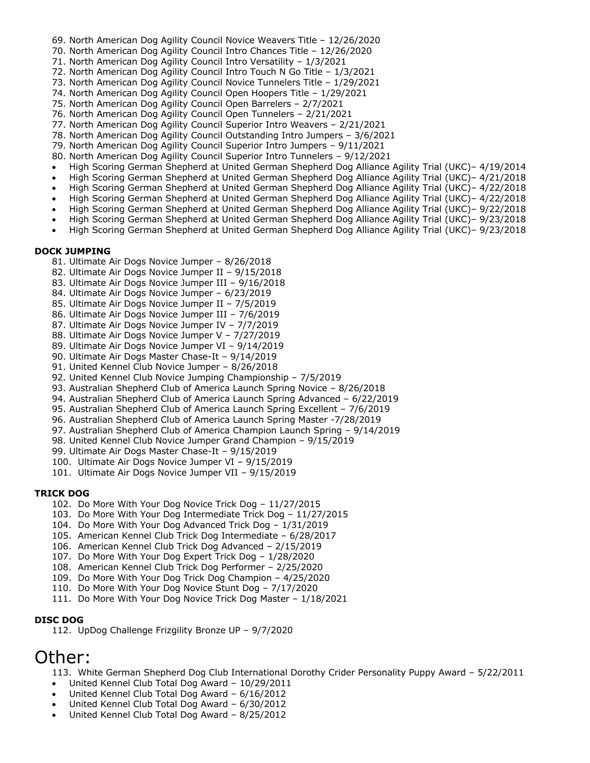- 69. North American Dog Agility Council Novice Weavers Title 12/26/2020
- 70. North American Dog Agility Council Intro Chances Title 12/26/2020
- 71. North American Dog Agility Council Intro Versatility 1/3/2021
- 72. North American Dog Agility Council Intro Touch N Go Title 1/3/2021
- 73. North American Dog Agility Council Novice Tunnelers Title 1/29/2021
- 74. North American Dog Agility Council Open Hoopers Title 1/29/2021
- 75. North American Dog Agility Council Open Barrelers 2/7/2021
- 76. North American Dog Agility Council Open Tunnelers 2/21/2021
- 77. North American Dog Agility Council Superior Intro Weavers 2/21/2021
- 78. North American Dog Agility Council Outstanding Intro Jumpers 3/6/2021
- 79. North American Dog Agility Council Superior Intro Jumpers 9/11/2021
- 80. North American Dog Agility Council Superior Intro Tunnelers 9/12/2021
- High Scoring German Shepherd at United German Shepherd Dog Alliance Agility Trial (UKC)– 4/19/2014
- High Scoring German Shepherd at United German Shepherd Dog Alliance Agility Trial (UKC)– 4/21/2018
- High Scoring German Shepherd at United German Shepherd Dog Alliance Agility Trial (UKC)– 4/22/2018
- High Scoring German Shepherd at United German Shepherd Dog Alliance Agility Trial (UKC)– 4/22/2018
- High Scoring German Shepherd at United German Shepherd Dog Alliance Agility Trial (UKC)– 9/22/2018
- High Scoring German Shepherd at United German Shepherd Dog Alliance Agility Trial (UKC)– 9/23/2018 • High Scoring German Shepherd at United German Shepherd Dog Alliance Agility Trial (UKC)– 9/23/2018
- 

#### **DOCK JUMPING**

- 81. Ultimate Air Dogs Novice Jumper 8/26/2018
- 82. Ultimate Air Dogs Novice Jumper II 9/15/2018
- 83. Ultimate Air Dogs Novice Jumper III 9/16/2018
- 84. Ultimate Air Dogs Novice Jumper 6/23/2019
- 85. Ultimate Air Dogs Novice Jumper II 7/5/2019
- 86. Ultimate Air Dogs Novice Jumper III 7/6/2019
- 87. Ultimate Air Dogs Novice Jumper IV 7/7/2019
- 88. Ultimate Air Dogs Novice Jumper V 7/27/2019
- 89. Ultimate Air Dogs Novice Jumper VI 9/14/2019
- 90. Ultimate Air Dogs Master Chase-It 9/14/2019
- 91. United Kennel Club Novice Jumper 8/26/2018
- 92. United Kennel Club Novice Jumping Championship 7/5/2019
- 93. Australian Shepherd Club of America Launch Spring Novice 8/26/2018
- 94. Australian Shepherd Club of America Launch Spring Advanced 6/22/2019
- 95. Australian Shepherd Club of America Launch Spring Excellent 7/6/2019
- 96. Australian Shepherd Club of America Launch Spring Master -7/28/2019
- 97. Australian Shepherd Club of America Champion Launch Spring 9/14/2019
- 98. United Kennel Club Novice Jumper Grand Champion 9/15/2019
- 99. Ultimate Air Dogs Master Chase-It 9/15/2019
- 100. Ultimate Air Dogs Novice Jumper VI 9/15/2019
- 101. Ultimate Air Dogs Novice Jumper VII 9/15/2019

#### **TRICK DOG**

- 102. Do More With Your Dog Novice Trick Dog 11/27/2015
- 103. Do More With Your Dog Intermediate Trick Dog 11/27/2015
- 104. Do More With Your Dog Advanced Trick Dog 1/31/2019
- 105. American Kennel Club Trick Dog Intermediate 6/28/2017
- 106. American Kennel Club Trick Dog Advanced 2/15/2019
- 107. Do More With Your Dog Expert Trick Dog 1/28/2020
- 108. American Kennel Club Trick Dog Performer 2/25/2020
- 109. Do More With Your Dog Trick Dog Champion 4/25/2020
- 110. Do More With Your Dog Novice Stunt Dog 7/17/2020
- 111. Do More With Your Dog Novice Trick Dog Master 1/18/2021

#### **DISC DOG**

112. UpDog Challenge Frizgility Bronze UP – 9/7/2020

### Other:

113. White German Shepherd Dog Club International Dorothy Crider Personality Puppy Award – 5/22/2011

- United Kennel Club Total Dog Award 10/29/2011
- United Kennel Club Total Dog Award 6/16/2012
- United Kennel Club Total Dog Award 6/30/2012
- United Kennel Club Total Dog Award 8/25/2012